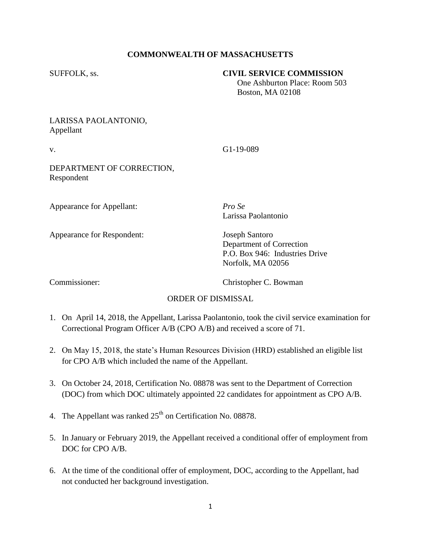### **COMMONWEALTH OF MASSACHUSETTS**

#### SUFFOLK, ss. **CIVIL SERVICE COMMISSION**

 One Ashburton Place: Room 503 Boston, MA 02108

# LARISSA PAOLANTONIO, Appellant

v. G1-19-089

DEPARTMENT OF CORRECTION, Respondent

Appearance for Appellant: *Pro Se*

Appearance for Respondent: Joseph Santoro

Larissa Paolantonio

Department of Correction P.O. Box 946: Industries Drive Norfolk, MA 02056

Commissioner: Christopher C. Bowman

# ORDER OF DISMISSAL

- 1. On April 14, 2018, the Appellant, Larissa Paolantonio, took the civil service examination for Correctional Program Officer A/B (CPO A/B) and received a score of 71.
- 2. On May 15, 2018, the state's Human Resources Division (HRD) established an eligible list for CPO A/B which included the name of the Appellant.
- 3. On October 24, 2018, Certification No. 08878 was sent to the Department of Correction (DOC) from which DOC ultimately appointed 22 candidates for appointment as CPO A/B.
- 4. The Appellant was ranked  $25<sup>th</sup>$  on Certification No. 08878.
- 5. In January or February 2019, the Appellant received a conditional offer of employment from DOC for CPO A/B.
- 6. At the time of the conditional offer of employment, DOC, according to the Appellant, had not conducted her background investigation.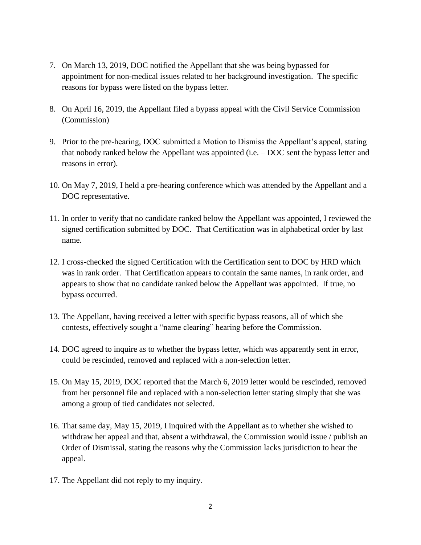- 7. On March 13, 2019, DOC notified the Appellant that she was being bypassed for appointment for non-medical issues related to her background investigation. The specific reasons for bypass were listed on the bypass letter.
- 8. On April 16, 2019, the Appellant filed a bypass appeal with the Civil Service Commission (Commission)
- 9. Prior to the pre-hearing, DOC submitted a Motion to Dismiss the Appellant's appeal, stating that nobody ranked below the Appellant was appointed (i.e. – DOC sent the bypass letter and reasons in error).
- 10. On May 7, 2019, I held a pre-hearing conference which was attended by the Appellant and a DOC representative.
- 11. In order to verify that no candidate ranked below the Appellant was appointed, I reviewed the signed certification submitted by DOC. That Certification was in alphabetical order by last name.
- 12. I cross-checked the signed Certification with the Certification sent to DOC by HRD which was in rank order. That Certification appears to contain the same names, in rank order, and appears to show that no candidate ranked below the Appellant was appointed. If true, no bypass occurred.
- 13. The Appellant, having received a letter with specific bypass reasons, all of which she contests, effectively sought a "name clearing" hearing before the Commission.
- 14. DOC agreed to inquire as to whether the bypass letter, which was apparently sent in error, could be rescinded, removed and replaced with a non-selection letter.
- 15. On May 15, 2019, DOC reported that the March 6, 2019 letter would be rescinded, removed from her personnel file and replaced with a non-selection letter stating simply that she was among a group of tied candidates not selected.
- 16. That same day, May 15, 2019, I inquired with the Appellant as to whether she wished to withdraw her appeal and that, absent a withdrawal, the Commission would issue / publish an Order of Dismissal, stating the reasons why the Commission lacks jurisdiction to hear the appeal.
- 17. The Appellant did not reply to my inquiry.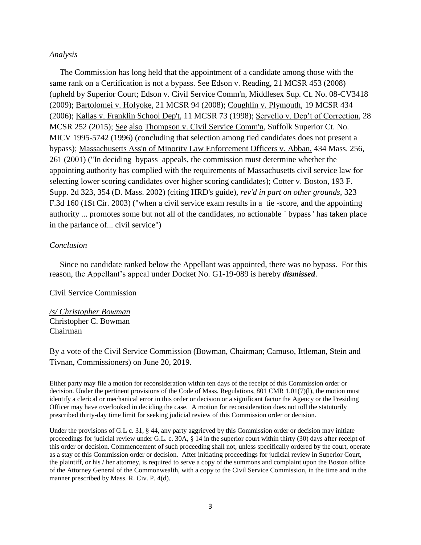#### *Analysis*

 The Commission has long held that the appointment of a candidate among those with the same rank on a Certification is not a bypass. See Edson v. Reading, 21 MCSR 453 (2008) (upheld by Superior Court; Edson v. Civil Service Comm'n, Middlesex Sup. Ct. No. 08-CV3418 (2009); Bartolomei v. Holyoke, 21 MCSR 94 (2008); Coughlin v. Plymouth, 19 MCSR 434 (2006); Kallas v. Franklin School Dep't, 11 MCSR 73 (1998); Servello v. Dep't of Correction, 28 MCSR 252 (2015); See also Thompson v. Civil Service Comm'n, Suffolk Superior Ct. No. MICV 1995-5742 (1996) (concluding that selection among tied candidates does not present a bypass); Massachusetts Ass'n of Minority Law Enforcement Officers v. Abban, 434 Mass. 256, 261 (2001) ("In deciding bypass appeals, the commission must determine whether the appointing authority has complied with the requirements of Massachusetts civil service law for selecting lower scoring candidates over higher scoring candidates); Cotter v. Boston, 193 F. Supp. 2d 323, 354 (D. Mass. 2002) (citing HRD's guide), *rev'd in part on other grounds*, 323 F.3d 160 (1St Cir. 2003) ("when a civil service exam results in a tie -score, and the appointing authority ... promotes some but not all of the candidates, no actionable ` bypass ' has taken place in the parlance of... civil service")

#### *Conclusion*

 Since no candidate ranked below the Appellant was appointed, there was no bypass. For this reason, the Appellant's appeal under Docket No. G1-19-089 is hereby *dismissed*.

Civil Service Commission

*/s/ Christopher Bowman* Christopher C. Bowman Chairman

By a vote of the Civil Service Commission (Bowman, Chairman; Camuso, Ittleman, Stein and Tivnan, Commissioners) on June 20, 2019.

Either party may file a motion for reconsideration within ten days of the receipt of this Commission order or decision. Under the pertinent provisions of the Code of Mass. Regulations, 801 CMR 1.01(7)(l), the motion must identify a clerical or mechanical error in this order or decision or a significant factor the Agency or the Presiding Officer may have overlooked in deciding the case. A motion for reconsideration does not toll the statutorily prescribed thirty-day time limit for seeking judicial review of this Commission order or decision.

Under the provisions of G.L c. 31, § 44, any party aggrieved by this Commission order or decision may initiate proceedings for judicial review under G.L. c. 30A, § 14 in the superior court within thirty (30) days after receipt of this order or decision. Commencement of such proceeding shall not, unless specifically ordered by the court, operate as a stay of this Commission order or decision. After initiating proceedings for judicial review in Superior Court, the plaintiff, or his / her attorney, is required to serve a copy of the summons and complaint upon the Boston office of the Attorney General of the Commonwealth, with a copy to the Civil Service Commission, in the time and in the manner prescribed by Mass. R. Civ. P. 4(d).